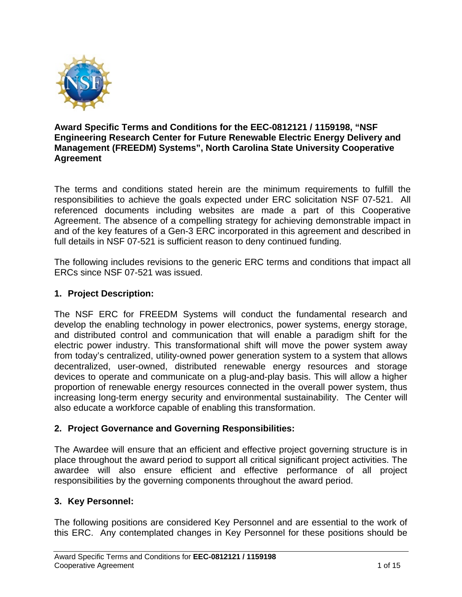

#### **Award Specific Terms and Conditions for the EEC-0812121 / 1159198, "NSF Engineering Research Center for Future Renewable Electric Energy Delivery and Management (FREEDM) Systems", North Carolina State University Cooperative Agreement**

The terms and conditions stated herein are the minimum requirements to fulfill the responsibilities to achieve the goals expected under ERC solicitation NSF 07-521. All referenced documents including websites are made a part of this Cooperative Agreement. The absence of a compelling strategy for achieving demonstrable impact in and of the key features of a Gen-3 ERC incorporated in this agreement and described in full details in NSF 07-521 is sufficient reason to deny continued funding.

The following includes revisions to the generic ERC terms and conditions that impact all ERCs since NSF 07-521 was issued.

## **1. Project Description:**

The NSF ERC for FREEDM Systems will conduct the fundamental research and develop the enabling technology in power electronics, power systems, energy storage, and distributed control and communication that will enable a paradigm shift for the electric power industry. This transformational shift will move the power system away from today's centralized, utility-owned power generation system to a system that allows decentralized, user-owned, distributed renewable energy resources and storage devices to operate and communicate on a plug-and-play basis. This will allow a higher proportion of renewable energy resources connected in the overall power system, thus increasing long-term energy security and environmental sustainability. The Center will also educate a workforce capable of enabling this transformation.

## **2. Project Governance and Governing Responsibilities:**

The Awardee will ensure that an efficient and effective project governing structure is in place throughout the award period to support all critical significant project activities. The awardee will also ensure efficient and effective performance of all project responsibilities by the governing components throughout the award period.

## **3. Key Personnel:**

The following positions are considered Key Personnel and are essential to the work of this ERC. Any contemplated changes in Key Personnel for these positions should be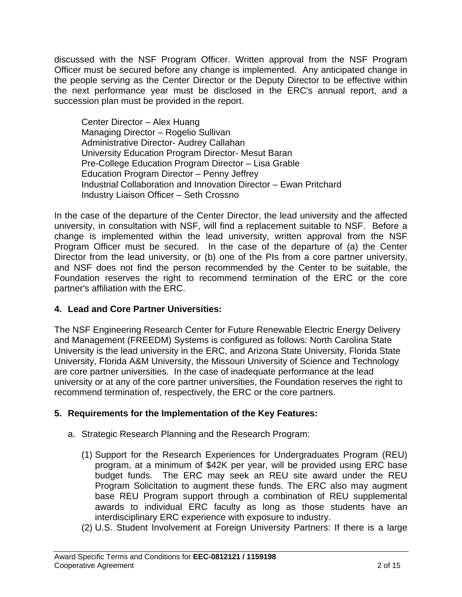discussed with the NSF Program Officer. Written approval from the NSF Program Officer must be secured before any change is implemented. Any anticipated change in the people serving as the Center Director or the Deputy Director to be effective within the next performance year must be disclosed in the ERC's annual report, and a succession plan must be provided in the report.

Center Director – Alex Huang Managing Director – Rogelio Sullivan Administrative Director- Audrey Callahan University Education Program Director- Mesut Baran Pre-College Education Program Director – Lisa Grable Education Program Director – Penny Jeffrey Industrial Collaboration and Innovation Director – Ewan Pritchard Industry Liaison Officer – Seth Crossno

In the case of the departure of the Center Director, the lead university and the affected university, in consultation with NSF, will find a replacement suitable to NSF. Before a change is implemented within the lead university, written approval from the NSF Program Officer must be secured. In the case of the departure of (a) the Center Director from the lead university, or (b) one of the PIs from a core partner university, and NSF does not find the person recommended by the Center to be suitable, the Foundation reserves the right to recommend termination of the ERC or the core partner's affiliation with the ERC.

## **4. Lead and Core Partner Universities:**

The NSF Engineering Research Center for Future Renewable Electric Energy Delivery and Management (FREEDM) Systems is configured as follows: North Carolina State University is the lead university in the ERC, and Arizona State University, Florida State University, Florida A&M University, the Missouri University of Science and Technology are core partner universities. In the case of inadequate performance at the lead university or at any of the core partner universities, the Foundation reserves the right to recommend termination of, respectively, the ERC or the core partners.

# **5. Requirements for the Implementation of the Key Features:**

- a. Strategic Research Planning and the Research Program:
	- (1) Support for the Research Experiences for Undergraduates Program (REU) program, at a minimum of \$42K per year, will be provided using ERC base budget funds. The ERC may seek an REU site award under the REU Program Solicitation to augment these funds. The ERC also may augment base REU Program support through a combination of REU supplemental awards to individual ERC faculty as long as those students have an interdisciplinary ERC experience with exposure to industry.
	- (2) U.S. Student Involvement at Foreign University Partners: If there is a large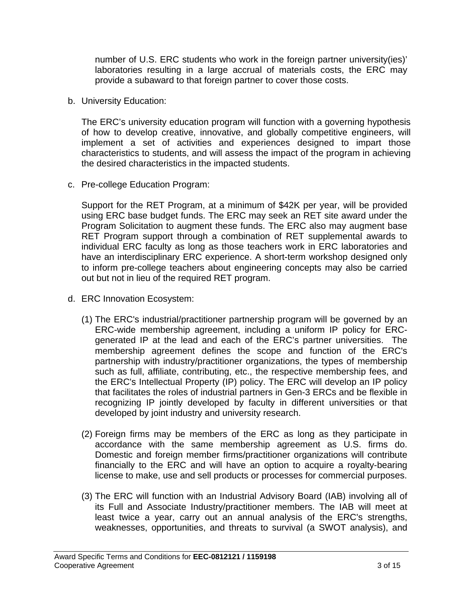number of U.S. ERC students who work in the foreign partner university(ies)' laboratories resulting in a large accrual of materials costs, the ERC may provide a subaward to that foreign partner to cover those costs.

b. University Education:

The ERC's university education program will function with a governing hypothesis of how to develop creative, innovative, and globally competitive engineers, will implement a set of activities and experiences designed to impart those characteristics to students, and will assess the impact of the program in achieving the desired characteristics in the impacted students.

c. Pre-college Education Program:

Support for the RET Program, at a minimum of \$42K per year, will be provided using ERC base budget funds. The ERC may seek an RET site award under the Program Solicitation to augment these funds. The ERC also may augment base RET Program support through a combination of RET supplemental awards to individual ERC faculty as long as those teachers work in ERC laboratories and have an interdisciplinary ERC experience. A short-term workshop designed only to inform pre-college teachers about engineering concepts may also be carried out but not in lieu of the required RET program.

- d. ERC Innovation Ecosystem:
	- (1) The ERC's industrial/practitioner partnership program will be governed by an ERC-wide membership agreement, including a uniform IP policy for ERCgenerated IP at the lead and each of the ERC's partner universities. The membership agreement defines the scope and function of the ERC's partnership with industry/practitioner organizations, the types of membership such as full, affiliate, contributing, etc., the respective membership fees, and the ERC's Intellectual Property (IP) policy. The ERC will develop an IP policy that facilitates the roles of industrial partners in Gen-3 ERCs and be flexible in recognizing IP jointly developed by faculty in different universities or that developed by joint industry and university research.
	- (2) Foreign firms may be members of the ERC as long as they participate in accordance with the same membership agreement as U.S. firms do. Domestic and foreign member firms/practitioner organizations will contribute financially to the ERC and will have an option to acquire a royalty-bearing license to make, use and sell products or processes for commercial purposes.
	- (3) The ERC will function with an Industrial Advisory Board (IAB) involving all of its Full and Associate Industry/practitioner members. The IAB will meet at least twice a year, carry out an annual analysis of the ERC's strengths, weaknesses, opportunities, and threats to survival (a SWOT analysis), and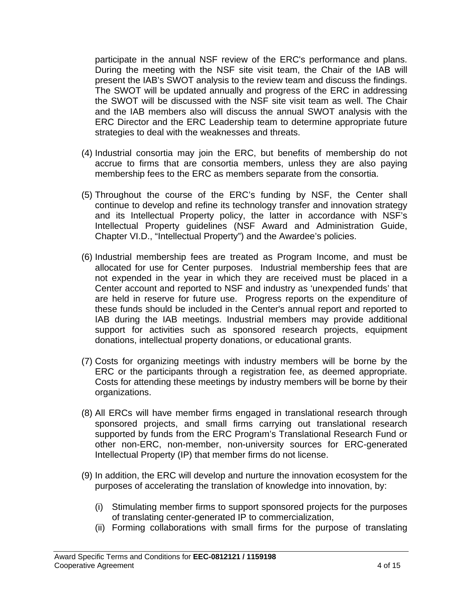participate in the annual NSF review of the ERC's performance and plans. During the meeting with the NSF site visit team, the Chair of the IAB will present the IAB's SWOT analysis to the review team and discuss the findings. The SWOT will be updated annually and progress of the ERC in addressing the SWOT will be discussed with the NSF site visit team as well. The Chair and the IAB members also will discuss the annual SWOT analysis with the ERC Director and the ERC Leadership team to determine appropriate future strategies to deal with the weaknesses and threats.

- (4) Industrial consortia may join the ERC, but benefits of membership do not accrue to firms that are consortia members, unless they are also paying membership fees to the ERC as members separate from the consortia.
- (5) Throughout the course of the ERC's funding by NSF, the Center shall continue to develop and refine its technology transfer and innovation strategy and its Intellectual Property policy, the latter in accordance with NSF's Intellectual Property guidelines (NSF Award and Administration Guide, Chapter VI.D., "Intellectual Property") and the Awardee's policies.
- (6) Industrial membership fees are treated as Program Income, and must be allocated for use for Center purposes. Industrial membership fees that are not expended in the year in which they are received must be placed in a Center account and reported to NSF and industry as 'unexpended funds' that are held in reserve for future use. Progress reports on the expenditure of these funds should be included in the Center's annual report and reported to IAB during the IAB meetings. Industrial members may provide additional support for activities such as sponsored research projects, equipment donations, intellectual property donations, or educational grants.
- (7) Costs for organizing meetings with industry members will be borne by the ERC or the participants through a registration fee, as deemed appropriate. Costs for attending these meetings by industry members will be borne by their organizations.
- (8) All ERCs will have member firms engaged in translational research through sponsored projects, and small firms carrying out translational research supported by funds from the ERC Program's Translational Research Fund or other non-ERC, non-member, non-university sources for ERC-generated Intellectual Property (IP) that member firms do not license.
- (9) In addition, the ERC will develop and nurture the innovation ecosystem for the purposes of accelerating the translation of knowledge into innovation, by:
	- (i) Stimulating member firms to support sponsored projects for the purposes of translating center-generated IP to commercialization,
	- (ii) Forming collaborations with small firms for the purpose of translating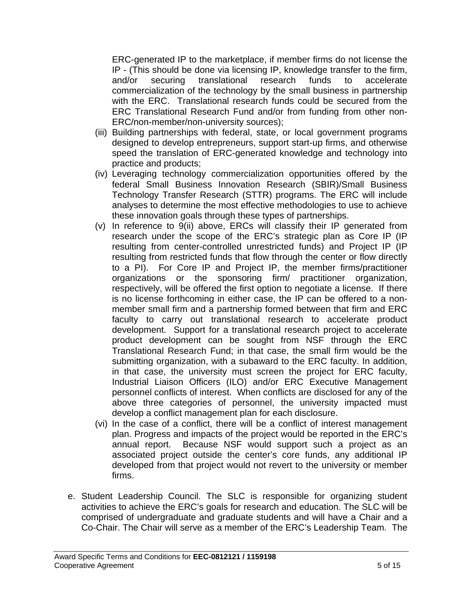ERC-generated IP to the marketplace, if member firms do not license the IP - (This should be done via licensing IP, knowledge transfer to the firm, and/or securing translational research funds to accelerate commercialization of the technology by the small business in partnership with the ERC. Translational research funds could be secured from the ERC Translational Research Fund and/or from funding from other non-ERC/non-member/non-university sources);

- (iii) Building partnerships with federal, state, or local government programs designed to develop entrepreneurs, support start-up firms, and otherwise speed the translation of ERC-generated knowledge and technology into practice and products;
- (iv) Leveraging technology commercialization opportunities offered by the federal Small Business Innovation Research (SBIR)/Small Business Technology Transfer Research (STTR) programs. The ERC will include analyses to determine the most effective methodologies to use to achieve these innovation goals through these types of partnerships.
- (v) In reference to 9(ii) above, ERCs will classify their IP generated from research under the scope of the ERC's strategic plan as Core IP (IP resulting from center-controlled unrestricted funds) and Project IP (IP resulting from restricted funds that flow through the center or flow directly to a PI). For Core IP and Project IP, the member firms/practitioner organizations or the sponsoring firm/ practitioner organization, respectively, will be offered the first option to negotiate a license. If there is no license forthcoming in either case, the IP can be offered to a nonmember small firm and a partnership formed between that firm and ERC faculty to carry out translational research to accelerate product development. Support for a translational research project to accelerate product development can be sought from NSF through the ERC Translational Research Fund; in that case, the small firm would be the submitting organization, with a subaward to the ERC faculty. In addition, in that case, the university must screen the project for ERC faculty, Industrial Liaison Officers (ILO) and/or ERC Executive Management personnel conflicts of interest. When conflicts are disclosed for any of the above three categories of personnel, the university impacted must develop a conflict management plan for each disclosure.
- (vi) In the case of a conflict, there will be a conflict of interest management plan. Progress and impacts of the project would be reported in the ERC's annual report. Because NSF would support such a project as an associated project outside the center's core funds, any additional IP developed from that project would not revert to the university or member firms.
- e. Student Leadership Council. The SLC is responsible for organizing student activities to achieve the ERC's goals for research and education. The SLC will be comprised of undergraduate and graduate students and will have a Chair and a Co-Chair. The Chair will serve as a member of the ERC's Leadership Team. The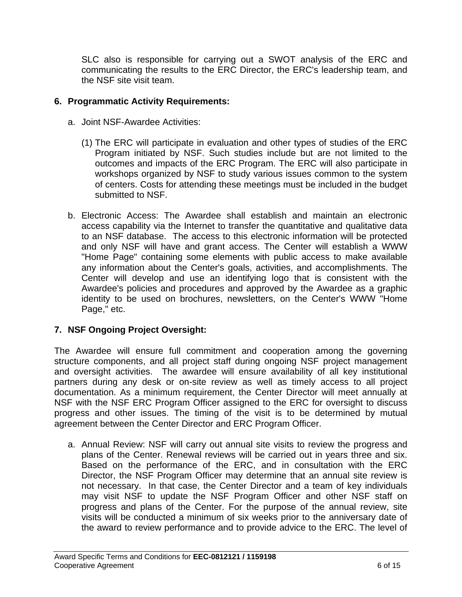SLC also is responsible for carrying out a SWOT analysis of the ERC and communicating the results to the ERC Director, the ERC's leadership team, and the NSF site visit team.

## **6. Programmatic Activity Requirements:**

- a. Joint NSF-Awardee Activities:
	- (1) The ERC will participate in evaluation and other types of studies of the ERC Program initiated by NSF. Such studies include but are not limited to the outcomes and impacts of the ERC Program. The ERC will also participate in workshops organized by NSF to study various issues common to the system of centers. Costs for attending these meetings must be included in the budget submitted to NSF.
- b. Electronic Access: The Awardee shall establish and maintain an electronic access capability via the Internet to transfer the quantitative and qualitative data to an NSF database. The access to this electronic information will be protected and only NSF will have and grant access. The Center will establish a WWW "Home Page" containing some elements with public access to make available any information about the Center's goals, activities, and accomplishments. The Center will develop and use an identifying logo that is consistent with the Awardee's policies and procedures and approved by the Awardee as a graphic identity to be used on brochures, newsletters, on the Center's WWW "Home Page," etc.

## **7. NSF Ongoing Project Oversight:**

The Awardee will ensure full commitment and cooperation among the governing structure components, and all project staff during ongoing NSF project management and oversight activities. The awardee will ensure availability of all key institutional partners during any desk or on-site review as well as timely access to all project documentation. As a minimum requirement, the Center Director will meet annually at NSF with the NSF ERC Program Officer assigned to the ERC for oversight to discuss progress and other issues. The timing of the visit is to be determined by mutual agreement between the Center Director and ERC Program Officer.

a. Annual Review: NSF will carry out annual site visits to review the progress and plans of the Center. Renewal reviews will be carried out in years three and six. Based on the performance of the ERC, and in consultation with the ERC Director, the NSF Program Officer may determine that an annual site review is not necessary. In that case, the Center Director and a team of key individuals may visit NSF to update the NSF Program Officer and other NSF staff on progress and plans of the Center. For the purpose of the annual review, site visits will be conducted a minimum of six weeks prior to the anniversary date of the award to review performance and to provide advice to the ERC. The level of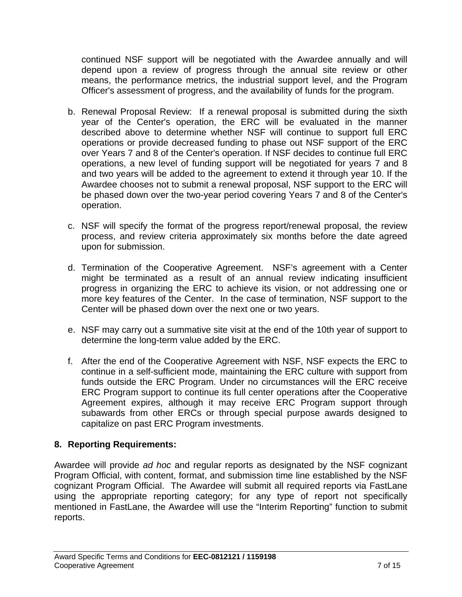continued NSF support will be negotiated with the Awardee annually and will depend upon a review of progress through the annual site review or other means, the performance metrics, the industrial support level, and the Program Officer's assessment of progress, and the availability of funds for the program.

- b. Renewal Proposal Review: If a renewal proposal is submitted during the sixth year of the Center's operation, the ERC will be evaluated in the manner described above to determine whether NSF will continue to support full ERC operations or provide decreased funding to phase out NSF support of the ERC over Years 7 and 8 of the Center's operation. If NSF decides to continue full ERC operations, a new level of funding support will be negotiated for years 7 and 8 and two years will be added to the agreement to extend it through year 10. If the Awardee chooses not to submit a renewal proposal, NSF support to the ERC will be phased down over the two-year period covering Years 7 and 8 of the Center's operation.
- c. NSF will specify the format of the progress report/renewal proposal, the review process, and review criteria approximately six months before the date agreed upon for submission.
- d. Termination of the Cooperative Agreement. NSF's agreement with a Center might be terminated as a result of an annual review indicating insufficient progress in organizing the ERC to achieve its vision, or not addressing one or more key features of the Center. In the case of termination, NSF support to the Center will be phased down over the next one or two years.
- e. NSF may carry out a summative site visit at the end of the 10th year of support to determine the long-term value added by the ERC.
- f. After the end of the Cooperative Agreement with NSF, NSF expects the ERC to continue in a self-sufficient mode, maintaining the ERC culture with support from funds outside the ERC Program. Under no circumstances will the ERC receive ERC Program support to continue its full center operations after the Cooperative Agreement expires, although it may receive ERC Program support through subawards from other ERCs or through special purpose awards designed to capitalize on past ERC Program investments.

## **8. Reporting Requirements:**

Awardee will provide *ad hoc* and regular reports as designated by the NSF cognizant Program Official, with content, format, and submission time line established by the NSF cognizant Program Official. The Awardee will submit all required reports via FastLane using the appropriate reporting category; for any type of report not specifically mentioned in FastLane, the Awardee will use the "Interim Reporting" function to submit reports.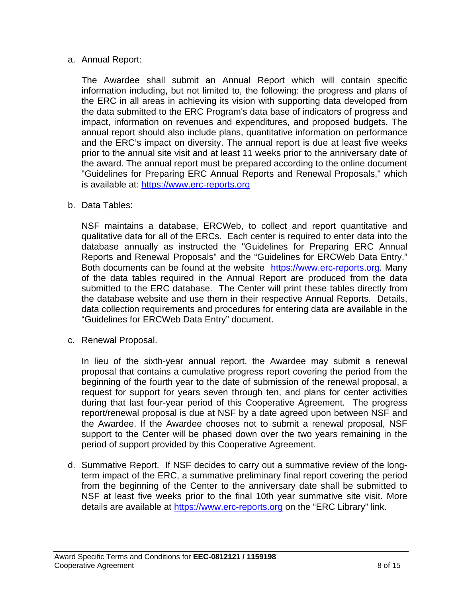#### a. Annual Report:

The Awardee shall submit an Annual Report which will contain specific information including, but not limited to, the following: the progress and plans of the ERC in all areas in achieving its vision with supporting data developed from the data submitted to the ERC Program's data base of indicators of progress and impact, information on revenues and expenditures, and proposed budgets. The annual report should also include plans, quantitative information on performance and the ERC's impact on diversity. The annual report is due at least five weeks prior to the annual site visit and at least 11 weeks prior to the anniversary date of the award. The annual report must be prepared according to the online document "Guidelines for Preparing ERC Annual Reports and Renewal Proposals," which is available at: https://www.erc-reports.org

b. Data Tables:

NSF maintains a database, ERCWeb, to collect and report quantitative and qualitative data for all of the ERCs. Each center is required to enter data into the database annually as instructed the "Guidelines for Preparing ERC Annual Reports and Renewal Proposals" and the "Guidelines for ERCWeb Data Entry." Both documents can be found at the website https://www.erc-reports.org. Many of the data tables required in the Annual Report are produced from the data submitted to the ERC database. The Center will print these tables directly from the database website and use them in their respective Annual Reports. Details, data collection requirements and procedures for entering data are available in the "Guidelines for ERCWeb Data Entry" document.

c. Renewal Proposal.

In lieu of the sixth-year annual report, the Awardee may submit a renewal proposal that contains a cumulative progress report covering the period from the beginning of the fourth year to the date of submission of the renewal proposal, a request for support for years seven through ten, and plans for center activities during that last four-year period of this Cooperative Agreement. The progress report/renewal proposal is due at NSF by a date agreed upon between NSF and the Awardee. If the Awardee chooses not to submit a renewal proposal, NSF support to the Center will be phased down over the two years remaining in the period of support provided by this Cooperative Agreement.

d. Summative Report. If NSF decides to carry out a summative review of the longterm impact of the ERC, a summative preliminary final report covering the period from the beginning of the Center to the anniversary date shall be submitted to NSF at least five weeks prior to the final 10th year summative site visit. More details are available at https://www.erc-reports.org on the "ERC Library" link.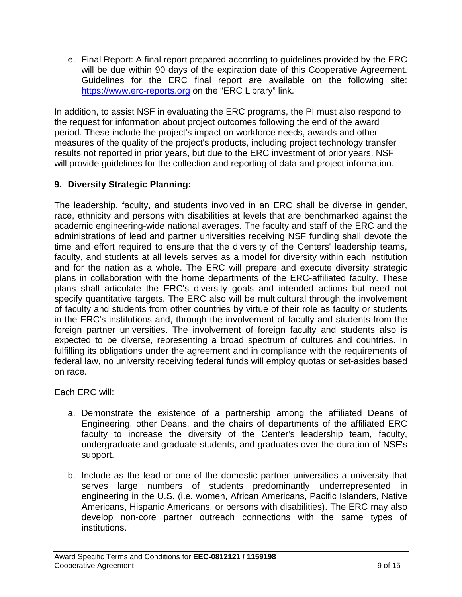e. Final Report: A final report prepared according to guidelines provided by the ERC will be due within 90 days of the expiration date of this Cooperative Agreement. Guidelines for the ERC final report are available on the following site: https://www.erc-reports.org on the "ERC Library" link.

In addition, to assist NSF in evaluating the ERC programs, the PI must also respond to the request for information about project outcomes following the end of the award period. These include the project's impact on workforce needs, awards and other measures of the quality of the project's products, including project technology transfer results not reported in prior years, but due to the ERC investment of prior years. NSF will provide guidelines for the collection and reporting of data and project information.

## **9. Diversity Strategic Planning:**

The leadership, faculty, and students involved in an ERC shall be diverse in gender, race, ethnicity and persons with disabilities at levels that are benchmarked against the academic engineering-wide national averages. The faculty and staff of the ERC and the administrations of lead and partner universities receiving NSF funding shall devote the time and effort required to ensure that the diversity of the Centers' leadership teams, faculty, and students at all levels serves as a model for diversity within each institution and for the nation as a whole. The ERC will prepare and execute diversity strategic plans in collaboration with the home departments of the ERC-affiliated faculty. These plans shall articulate the ERC's diversity goals and intended actions but need not specify quantitative targets. The ERC also will be multicultural through the involvement of faculty and students from other countries by virtue of their role as faculty or students in the ERC's institutions and, through the involvement of faculty and students from the foreign partner universities. The involvement of foreign faculty and students also is expected to be diverse, representing a broad spectrum of cultures and countries. In fulfilling its obligations under the agreement and in compliance with the requirements of federal law, no university receiving federal funds will employ quotas or set-asides based on race.

Each ERC will:

- a. Demonstrate the existence of a partnership among the affiliated Deans of Engineering, other Deans, and the chairs of departments of the affiliated ERC faculty to increase the diversity of the Center's leadership team, faculty, undergraduate and graduate students, and graduates over the duration of NSF's support.
- b. Include as the lead or one of the domestic partner universities a university that serves large numbers of students predominantly underrepresented in engineering in the U.S. (i.e. women, African Americans, Pacific Islanders, Native Americans, Hispanic Americans, or persons with disabilities). The ERC may also develop non-core partner outreach connections with the same types of institutions.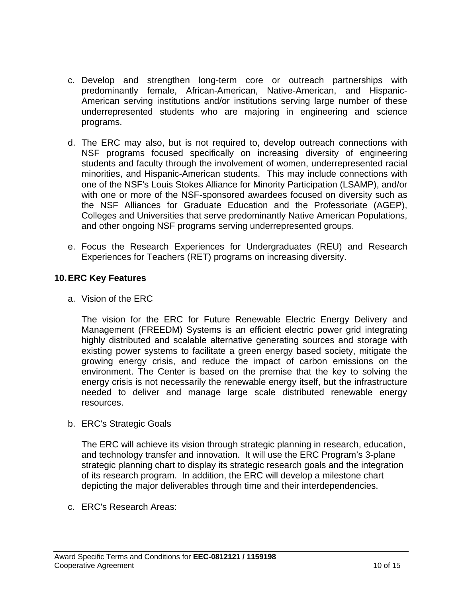- c. Develop and strengthen long-term core or outreach partnerships with predominantly female, African-American, Native-American, and Hispanic-American serving institutions and/or institutions serving large number of these underrepresented students who are majoring in engineering and science programs.
- d. The ERC may also, but is not required to, develop outreach connections with NSF programs focused specifically on increasing diversity of engineering students and faculty through the involvement of women, underrepresented racial minorities, and Hispanic-American students. This may include connections with one of the NSF's Louis Stokes Alliance for Minority Participation (LSAMP), and/or with one or more of the NSF-sponsored awardees focused on diversity such as the NSF Alliances for Graduate Education and the Professoriate (AGEP), Colleges and Universities that serve predominantly Native American Populations, and other ongoing NSF programs serving underrepresented groups.
- e. Focus the Research Experiences for Undergraduates (REU) and Research Experiences for Teachers (RET) programs on increasing diversity.

#### **10. ERC Key Features**

a. Vision of the ERC

The vision for the ERC for Future Renewable Electric Energy Delivery and Management (FREEDM) Systems is an efficient electric power grid integrating highly distributed and scalable alternative generating sources and storage with existing power systems to facilitate a green energy based society, mitigate the growing energy crisis, and reduce the impact of carbon emissions on the environment. The Center is based on the premise that the key to solving the energy crisis is not necessarily the renewable energy itself, but the infrastructure needed to deliver and manage large scale distributed renewable energy resources.

b. ERC's Strategic Goals

The ERC will achieve its vision through strategic planning in research, education, and technology transfer and innovation. It will use the ERC Program's 3-plane strategic planning chart to display its strategic research goals and the integration of its research program. In addition, the ERC will develop a milestone chart depicting the major deliverables through time and their interdependencies.

c. ERC's Research Areas: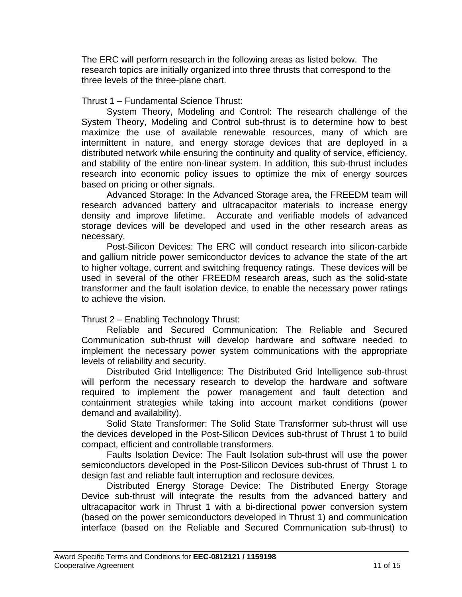The ERC will perform research in the following areas as listed below. The research topics are initially organized into three thrusts that correspond to the three levels of the three-plane chart.

#### Thrust 1 – Fundamental Science Thrust:

 System Theory, Modeling and Control: The research challenge of the System Theory, Modeling and Control sub-thrust is to determine how to best maximize the use of available renewable resources, many of which are intermittent in nature, and energy storage devices that are deployed in a distributed network while ensuring the continuity and quality of service, efficiency, and stability of the entire non-linear system. In addition, this sub-thrust includes research into economic policy issues to optimize the mix of energy sources based on pricing or other signals.

 Advanced Storage: In the Advanced Storage area, the FREEDM team will research advanced battery and ultracapacitor materials to increase energy density and improve lifetime. Accurate and verifiable models of advanced storage devices will be developed and used in the other research areas as necessary.

 Post-Silicon Devices: The ERC will conduct research into silicon-carbide and gallium nitride power semiconductor devices to advance the state of the art to higher voltage, current and switching frequency ratings. These devices will be used in several of the other FREEDM research areas, such as the solid-state transformer and the fault isolation device, to enable the necessary power ratings to achieve the vision.

## Thrust 2 – Enabling Technology Thrust:

 Reliable and Secured Communication: The Reliable and Secured Communication sub-thrust will develop hardware and software needed to implement the necessary power system communications with the appropriate levels of reliability and security.

 Distributed Grid Intelligence: The Distributed Grid Intelligence sub-thrust will perform the necessary research to develop the hardware and software required to implement the power management and fault detection and containment strategies while taking into account market conditions (power demand and availability).

 Solid State Transformer: The Solid State Transformer sub-thrust will use the devices developed in the Post-Silicon Devices sub-thrust of Thrust 1 to build compact, efficient and controllable transformers.

 Faults Isolation Device: The Fault Isolation sub-thrust will use the power semiconductors developed in the Post-Silicon Devices sub-thrust of Thrust 1 to design fast and reliable fault interruption and reclosure devices.

 Distributed Energy Storage Device: The Distributed Energy Storage Device sub-thrust will integrate the results from the advanced battery and ultracapacitor work in Thrust 1 with a bi-directional power conversion system (based on the power semiconductors developed in Thrust 1) and communication interface (based on the Reliable and Secured Communication sub-thrust) to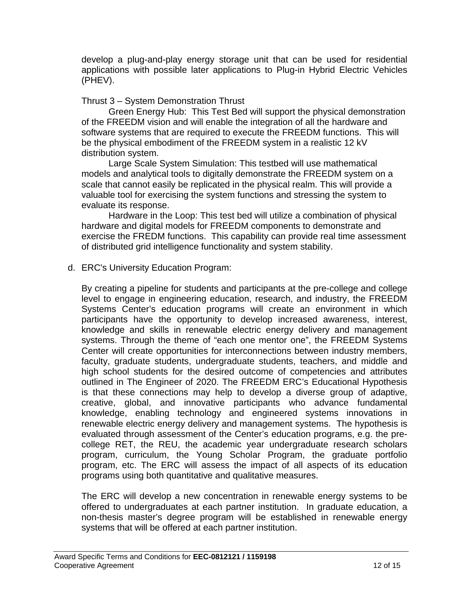develop a plug-and-play energy storage unit that can be used for residential applications with possible later applications to Plug-in Hybrid Electric Vehicles (PHEV).

#### Thrust 3 – System Demonstration Thrust

Green Energy Hub: This Test Bed will support the physical demonstration of the FREEDM vision and will enable the integration of all the hardware and software systems that are required to execute the FREEDM functions. This will be the physical embodiment of the FREEDM system in a realistic 12 kV distribution system.

Large Scale System Simulation: This testbed will use mathematical models and analytical tools to digitally demonstrate the FREEDM system on a scale that cannot easily be replicated in the physical realm. This will provide a valuable tool for exercising the system functions and stressing the system to evaluate its response.

Hardware in the Loop: This test bed will utilize a combination of physical hardware and digital models for FREEDM components to demonstrate and exercise the FREDM functions. This capability can provide real time assessment of distributed grid intelligence functionality and system stability.

## d. ERC's University Education Program:

By creating a pipeline for students and participants at the pre-college and college level to engage in engineering education, research, and industry, the FREEDM Systems Center's education programs will create an environment in which participants have the opportunity to develop increased awareness, interest, knowledge and skills in renewable electric energy delivery and management systems. Through the theme of "each one mentor one", the FREEDM Systems Center will create opportunities for interconnections between industry members, faculty, graduate students, undergraduate students, teachers, and middle and high school students for the desired outcome of competencies and attributes outlined in The Engineer of 2020. The FREEDM ERC's Educational Hypothesis is that these connections may help to develop a diverse group of adaptive, creative, global, and innovative participants who advance fundamental knowledge, enabling technology and engineered systems innovations in renewable electric energy delivery and management systems. The hypothesis is evaluated through assessment of the Center's education programs, e.g. the precollege RET, the REU, the academic year undergraduate research scholars program, curriculum, the Young Scholar Program, the graduate portfolio program, etc. The ERC will assess the impact of all aspects of its education programs using both quantitative and qualitative measures.

The ERC will develop a new concentration in renewable energy systems to be offered to undergraduates at each partner institution. In graduate education, a non-thesis master's degree program will be established in renewable energy systems that will be offered at each partner institution.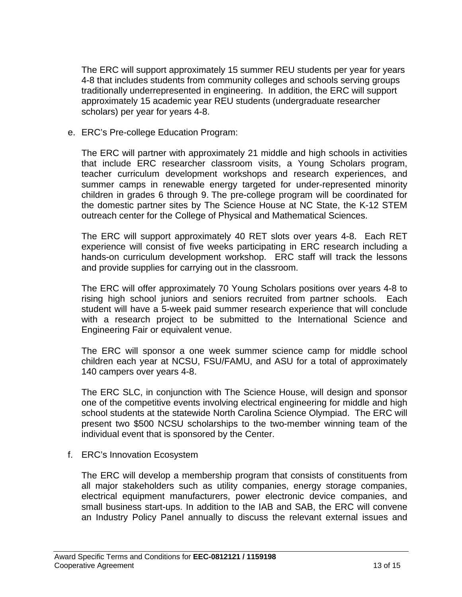The ERC will support approximately 15 summer REU students per year for years 4-8 that includes students from community colleges and schools serving groups traditionally underrepresented in engineering. In addition, the ERC will support approximately 15 academic year REU students (undergraduate researcher scholars) per year for years 4-8.

e. ERC's Pre-college Education Program:

The ERC will partner with approximately 21 middle and high schools in activities that include ERC researcher classroom visits, a Young Scholars program, teacher curriculum development workshops and research experiences, and summer camps in renewable energy targeted for under-represented minority children in grades 6 through 9. The pre-college program will be coordinated for the domestic partner sites by The Science House at NC State, the K-12 STEM outreach center for the College of Physical and Mathematical Sciences.

The ERC will support approximately 40 RET slots over years 4-8. Each RET experience will consist of five weeks participating in ERC research including a hands-on curriculum development workshop. ERC staff will track the lessons and provide supplies for carrying out in the classroom.

The ERC will offer approximately 70 Young Scholars positions over years 4-8 to rising high school juniors and seniors recruited from partner schools. Each student will have a 5-week paid summer research experience that will conclude with a research project to be submitted to the International Science and Engineering Fair or equivalent venue.

The ERC will sponsor a one week summer science camp for middle school children each year at NCSU, FSU/FAMU, and ASU for a total of approximately 140 campers over years 4-8.

The ERC SLC, in conjunction with The Science House, will design and sponsor one of the competitive events involving electrical engineering for middle and high school students at the statewide North Carolina Science Olympiad. The ERC will present two \$500 NCSU scholarships to the two-member winning team of the individual event that is sponsored by the Center.

f. ERC's Innovation Ecosystem

The ERC will develop a membership program that consists of constituents from all major stakeholders such as utility companies, energy storage companies, electrical equipment manufacturers, power electronic device companies, and small business start-ups. In addition to the IAB and SAB, the ERC will convene an Industry Policy Panel annually to discuss the relevant external issues and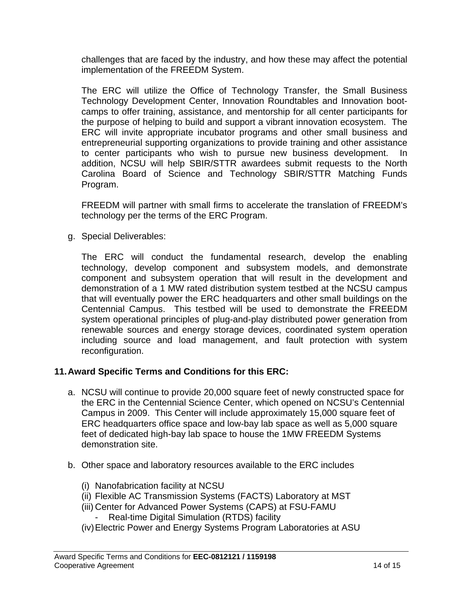challenges that are faced by the industry, and how these may affect the potential implementation of the FREEDM System.

The ERC will utilize the Office of Technology Transfer, the Small Business Technology Development Center, Innovation Roundtables and Innovation bootcamps to offer training, assistance, and mentorship for all center participants for the purpose of helping to build and support a vibrant innovation ecosystem. The ERC will invite appropriate incubator programs and other small business and entrepreneurial supporting organizations to provide training and other assistance to center participants who wish to pursue new business development. In addition, NCSU will help SBIR/STTR awardees submit requests to the North Carolina Board of Science and Technology SBIR/STTR Matching Funds Program.

FREEDM will partner with small firms to accelerate the translation of FREEDM's technology per the terms of the ERC Program.

g. Special Deliverables:

The ERC will conduct the fundamental research, develop the enabling technology, develop component and subsystem models, and demonstrate component and subsystem operation that will result in the development and demonstration of a 1 MW rated distribution system testbed at the NCSU campus that will eventually power the ERC headquarters and other small buildings on the Centennial Campus. This testbed will be used to demonstrate the FREEDM system operational principles of plug-and-play distributed power generation from renewable sources and energy storage devices, coordinated system operation including source and load management, and fault protection with system reconfiguration.

## **11. Award Specific Terms and Conditions for this ERC:**

- a. NCSU will continue to provide 20,000 square feet of newly constructed space for the ERC in the Centennial Science Center, which opened on NCSU's Centennial Campus in 2009. This Center will include approximately 15,000 square feet of ERC headquarters office space and low-bay lab space as well as 5,000 square feet of dedicated high-bay lab space to house the 1MW FREEDM Systems demonstration site.
- b. Other space and laboratory resources available to the ERC includes
	- (i) Nanofabrication facility at NCSU
	- (ii) Flexible AC Transmission Systems (FACTS) Laboratory at MST
	- (iii) Center for Advanced Power Systems (CAPS) at FSU-FAMU
		- Real-time Digital Simulation (RTDS) facility
	- (iv) Electric Power and Energy Systems Program Laboratories at ASU